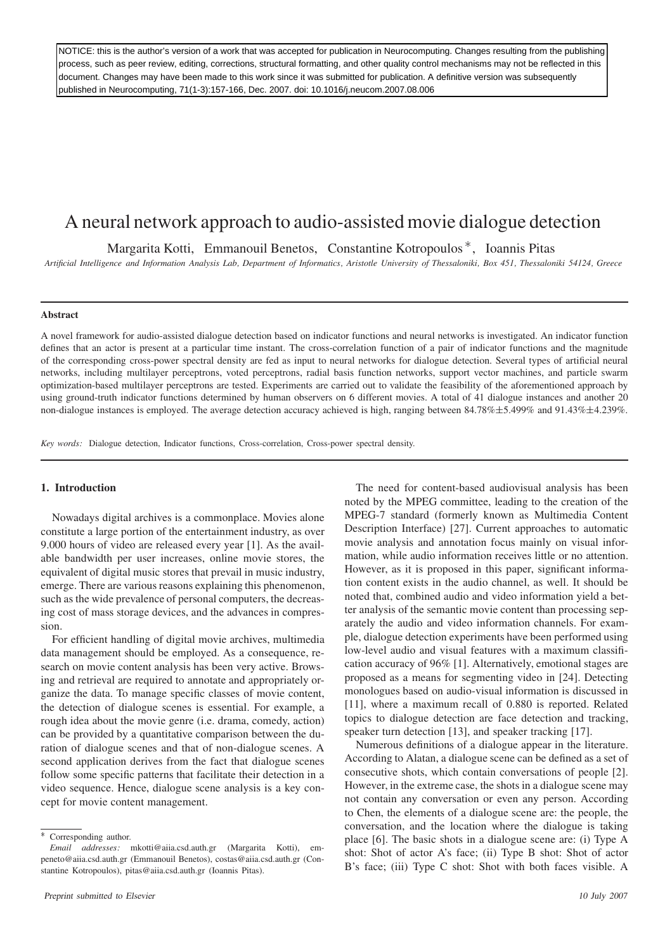NOTICE: this is the author's version of a work that was accepted for publication in Neurocomputing. Changes resulting from the publishing process, such as peer review, editing, corrections, structural formatting, and other quality control mechanisms may not be reflected in this document. Changes may have been made to this work since it was submitted for publication. A definitive version was subsequently published in Neurocomputing, 71(1-3):157-166, Dec. 2007. doi: 10.1016/j.neucom.2007.08.006

# A neural network approach to audio-assisted movie dialogue detection

Margarita Kotti, Emmanouil Benetos, Constantine Kotropoulos<sup>\*</sup>, Ioannis Pitas

*Artificial Intelligence and Information Analysis Lab, Department of Informatics, Aristotle University of Thessaloniki, Box 451, Thessaloniki 54124, Greece*

# **Abstract**

A novel framework for audio-assisted dialogue detection based on indicator functions and neural networks is investigated. An indicator function defines that an actor is present at a particular time instant. The cross-correlation function of a pair of indicator functions and the magnitude of the corresponding cross-power spectral density are fed as input to neural networks for dialogue detection. Several types of artificial neural networks, including multilayer perceptrons, voted perceptrons, radial basis function networks, support vector machines, and particle swarm optimization-based multilayer perceptrons are tested. Experiments are carried out to validate the feasibility of the aforementioned approach by using ground-truth indicator functions determined by human observers on 6 different movies. A total of 41 dialogue instances and another 20 non-dialogue instances is employed. The average detection accuracy achieved is high, ranging between 84.78% $\pm$ 5.499% and 91.43% $\pm$ 4.239%.

*Key words:* Dialogue detection, Indicator functions, Cross-correlation, Cross-power spectral density.

# **1. Introduction**

Nowadays digital archives is a commonplace. Movies alone constitute a large portion of the entertainment industry, as over 9.000 hours of video are released every year [1]. As the available bandwidth per user increases, online movie stores, the equivalent of digital music stores that prevail in music industry, emerge. There are various reasons explaining this phenomenon, such as the wide prevalence of personal computers, the decreasing cost of mass storage devices, and the advances in compression.

For efficient handling of digital movie archives, multimedia data management should be employed. As a consequence, research on movie content analysis has been very active. Browsing and retrieval are required to annotate and appropriately organize the data. To manage specific classes of movie content, the detection of dialogue scenes is essential. For example, a rough idea about the movie genre (i.e. drama, comedy, action) can be provided by a quantitative comparison between the duration of dialogue scenes and that of non-dialogue scenes. A second application derives from the fact that dialogue scenes follow some specific patterns that facilitate their detection in a video sequence. Hence, dialogue scene analysis is a key concept for movie content management.

The need for content-based audiovisual analysis has been noted by the MPEG committee, leading to the creation of the MPEG-7 standard (formerly known as Multimedia Content Description Interface) [27]. Current approaches to automatic movie analysis and annotation focus mainly on visual information, while audio information receives little or no attention. However, as it is proposed in this paper, significant information content exists in the audio channel, as well. It should be noted that, combined audio and video information yield a better analysis of the semantic movie content than processing separately the audio and video information channels. For example, dialogue detection experiments have been performed using low-level audio and visual features with a maximum classification accuracy of 96% [1]. Alternatively, emotional stages are proposed as a means for segmenting video in [24]. Detecting monologues based on audio-visual information is discussed in [11], where a maximum recall of 0.880 is reported. Related topics to dialogue detection are face detection and tracking, speaker turn detection [13], and speaker tracking [17].

Numerous definitions of a dialogue appear in the literature. According to Alatan, a dialogue scene can be defined as a set of consecutive shots, which contain conversations of people [2]. However, in the extreme case, the shots in a dialogue scene may not contain any conversation or even any person. According to Chen, the elements of a dialogue scene are: the people, the conversation, and the location where the dialogue is taking place [6]. The basic shots in a dialogue scene are: (i) Type A shot: Shot of actor A's face; (ii) Type B shot: Shot of actor B's face; (iii) Type C shot: Shot with both faces visible. A

Corresponding author.

*Email addresses:* mkotti@aiia.csd.auth.gr (Margarita Kotti), empeneto@aiia.csd.auth.gr (Emmanouil Benetos), costas@aiia.csd.auth.gr (Constantine Kotropoulos), pitas@aiia.csd.auth.gr (Ioannis Pitas).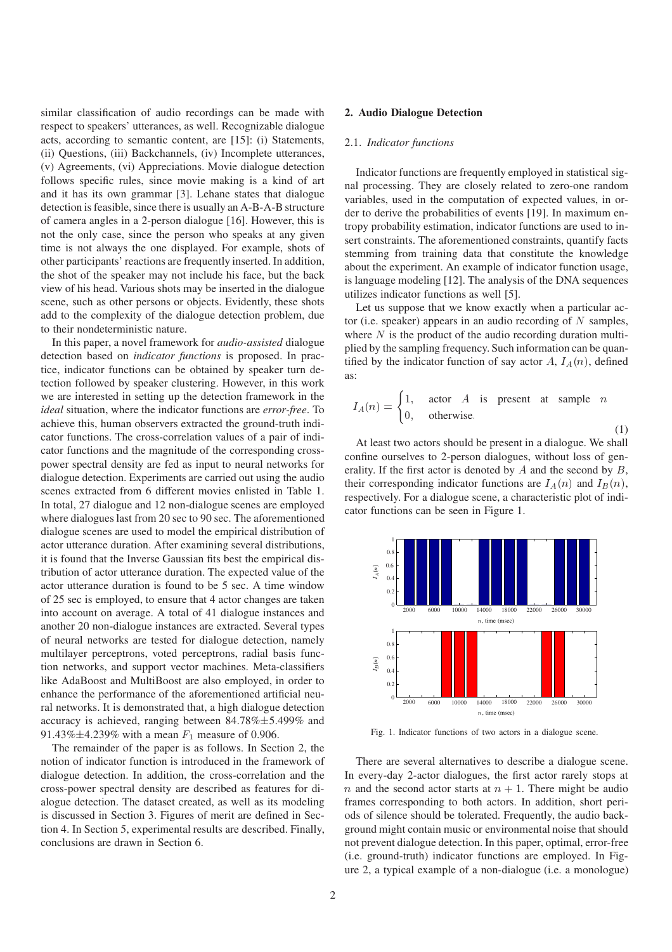similar classification of audio recordings can be made with respect to speakers' utterances, as well. Recognizable dialogue acts, according to semantic content, are [15]: (i) Statements, (ii) Questions, (iii) Backchannels, (iv) Incomplete utterances, (v) Agreements, (vi) Appreciations. Movie dialogue detection follows specific rules, since movie making is a kind of art and it has its own grammar [3]. Lehane states that dialogue detection is feasible, since there is usually an A-B-A-B structure of camera angles in a 2-person dialogue [16]. However, this is not the only case, since the person who speaks at any given time is not always the one displayed. For example, shots of other participants' reactions are frequently inserted. In addition, the shot of the speaker may not include his face, but the back view of his head. Various shots may be inserted in the dialogue scene, such as other persons or objects. Evidently, these shots add to the complexity of the dialogue detection problem, due to their nondeterministic nature.

In this paper, a novel framework for *audio-assisted* dialogue detection based on *indicator functions* is proposed. In practice, indicator functions can be obtained by speaker turn detection followed by speaker clustering. However, in this work we are interested in setting up the detection framework in the *ideal* situation, where the indicator functions are *error-free*. To achieve this, human observers extracted the ground-truth indicator functions. The cross-correlation values of a pair of indicator functions and the magnitude of the corresponding crosspower spectral density are fed as input to neural networks for dialogue detection. Experiments are carried out using the audio scenes extracted from 6 different movies enlisted in Table 1. In total, 27 dialogue and 12 non-dialogue scenes are employed where dialogues last from 20 sec to 90 sec. The aforementioned dialogue scenes are used to model the empirical distribution of actor utterance duration. After examining several distributions, it is found that the Inverse Gaussian fits best the empirical distribution of actor utterance duration. The expected value of the actor utterance duration is found to be 5 sec. A time window of 25 sec is employed, to ensure that 4 actor changes are taken into account on average. A total of 41 dialogue instances and another 20 non-dialogue instances are extracted. Several types of neural networks are tested for dialogue detection, namely multilayer perceptrons, voted perceptrons, radial basis function networks, and support vector machines. Meta-classifiers like AdaBoost and MultiBoost are also employed, in order to enhance the performance of the aforementioned artificial neural networks. It is demonstrated that, a high dialogue detection accuracy is achieved, ranging between  $84.78\% \pm 5.499\%$  and 91.43% $\pm$ 4.239% with a mean  $F_1$  measure of 0.906.

The remainder of the paper is as follows. In Section 2, the notion of indicator function is introduced in the framework of dialogue detection. In addition, the cross-correlation and the cross-power spectral density are described as features for dialogue detection. The dataset created, as well as its modeling is discussed in Section 3. Figures of merit are defined in Section 4. In Section 5, experimental results are described. Finally, conclusions are drawn in Section 6.

## **2. Audio Dialogue Detection**

# 2.1. *Indicator functions*

Indicator functions are frequently employed in statistical signal processing. They are closely related to zero-one random variables, used in the computation of expected values, in order to derive the probabilities of events [19]. In maximum entropy probability estimation, indicator functions are used to insert constraints. The aforementioned constraints, quantify facts stemming from training data that constitute the knowledge about the experiment. An example of indicator function usage, is language modeling [12]. The analysis of the DNA sequences utilizes indicator functions as well [5].

Let us suppose that we know exactly when a particular actor (i.e. speaker) appears in an audio recording of  $N$  samples, where  $N$  is the product of the audio recording duration multiplied by the sampling frequency. Such information can be quantified by the indicator function of say actor  $A, I_A(n)$ , defined as:

$$
I_A(n) = \begin{cases} 1, & \text{actor } A \text{ is present at sample } n \\ 0, & \text{otherwise.} \end{cases}
$$

 $(1)$ 

At least two actors should be present in a dialogue. We shall confine ourselves to 2-person dialogues, without loss of generality. If the first actor is denoted by  $A$  and the second by  $B$ , their corresponding indicator functions are  $I_A(n)$  and  $I_B(n)$ , respectively. For a dialogue scene, a characteristic plot of indicator functions can be seen in Figure 1.



Fig. 1. Indicator functions of two actors in a dialogue scene.

There are several alternatives to describe a dialogue scene. In every-day 2-actor dialogues, the first actor rarely stops at *n* and the second actor starts at  $n + 1$ . There might be audio frames corresponding to both actors. In addition, short periods of silence should be tolerated. Frequently, the audio background might contain music or environmental noise that should not prevent dialogue detection. In this paper, optimal, error-free (i.e. ground-truth) indicator functions are employed. In Figure 2, a typical example of a non-dialogue (i.e. a monologue)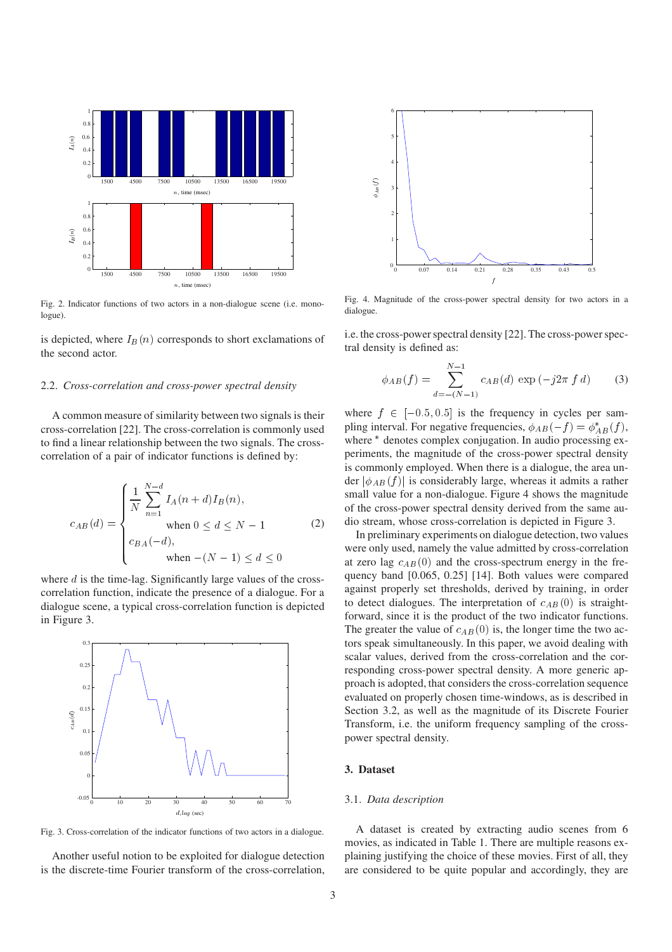

Fig. 2. Indicator functions of two actors in a non-dialogue scene (i.e. monologue).

is depicted, where  $I_B(n)$  corresponds to short exclamations of the second actor.

### 2.2. *Cross-correlation and cross-power spectral density*

A common measure of similarity between two signals is their cross-correlation [22]. The cross-correlation is commonly used to find a linear relationship between the two signals. The crosscorrelation of a pair of indicator functions is defined by:

$$
c_{AB}(d) = \begin{cases} \frac{1}{N} \sum_{n=1}^{N-d} I_A(n+d) I_B(n), \\ \text{when } 0 \le d \le N-1 \\ c_{BA}(-d), \\ \text{when } -(N-1) \le d \le 0 \end{cases}
$$
 (2)

where  $d$  is the time-lag. Significantly large values of the crosscorrelation function, indicate the presence of a dialogue. For a dialogue scene, a typical cross-correlation function is depicted in Figure 3.



Fig. 3. Cross-correlation of the indicator functions of two actors in a dialogue.

Another useful notion to be exploited for dialogue detection is the discrete-time Fourier transform of the cross-correlation,



Fig. 4. Magnitude of the cross-power spectral density for two actors in a dialogue.

i.e. the cross-power spectral density [22]. The cross-power spectral density is defined as:

$$
\phi_{AB}(f) = \sum_{d=-(N-1)}^{N-1} c_{AB}(d) \exp(-j2\pi f d)
$$
 (3)

where  $f \in [-0.5, 0.5]$  is the frequency in cycles per sampling interval. For negative frequencies,  $\phi_{AB}(-f) = \phi_{AB}^*(f)$ , where  $*$  denotes complex conjugation. In audio processing experiments, the magnitude of the cross-power spectral density is commonly employed. When there is a dialogue, the area under  $|\phi_{AB}(f)|$  is considerably large, whereas it admits a rather small value for a non-dialogue. Figure 4 shows the magnitude of the cross-power spectral density derived from the same audio stream, whose cross-correlation is depicted in Figure 3.

In preliminary experiments on dialogue detection, two values were only used, namely the value admitted by cross-correlation at zero lag  $c_{AB}(0)$  and the cross-spectrum energy in the frequency band [0.065, 0.25] [14]. Both values were compared against properly set thresholds, derived by training, in order to detect dialogues. The interpretation of  $c_{AB}(0)$  is straightforward, since it is the product of the two indicator functions. The greater the value of  $c_{AB}(0)$  is, the longer time the two actors speak simultaneously. In this paper, we avoid dealing with scalar values, derived from the cross-correlation and the corresponding cross-power spectral density. A more generic approach is adopted, that considers the cross-correlation sequence evaluated on properly chosen time-windows, as is described in Section 3.2, as well as the magnitude of its Discrete Fourier Transform, i.e. the uniform frequency sampling of the crosspower spectral density.

## **3. Dataset**

# 3.1. *Data description*

A dataset is created by extracting audio scenes from 6 movies, as indicated in Table 1. There are multiple reasons explaining justifying the choice of these movies. First of all, they are considered to be quite popular and accordingly, they are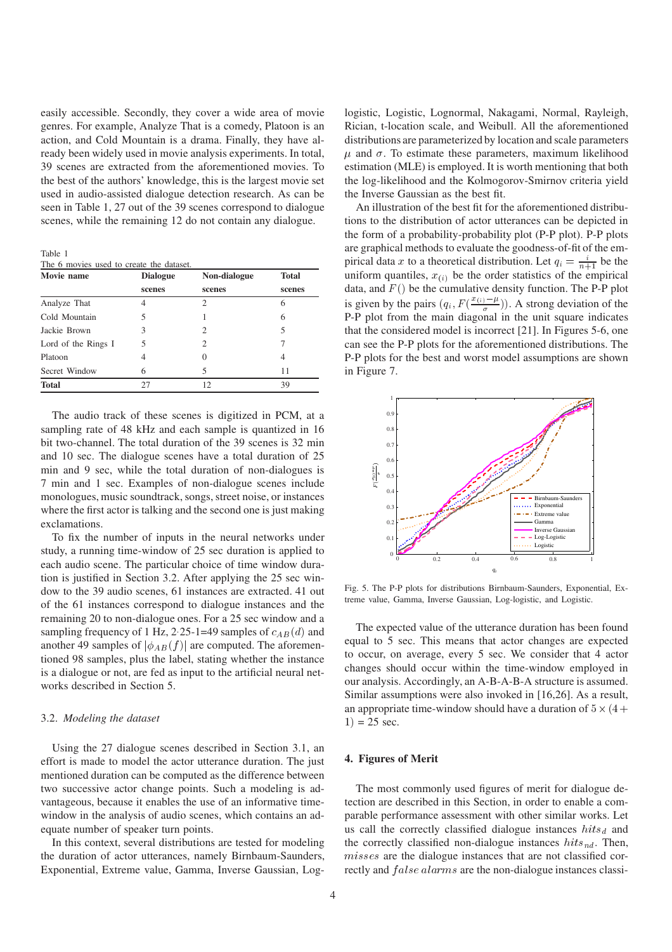easily accessible. Secondly, they cover a wide area of movie genres. For example, Analyze That is a comedy, Platoon is an action, and Cold Mountain is a drama. Finally, they have already been widely used in movie analysis experiments. In total, 39 scenes are extracted from the aforementioned movies. To the best of the authors' knowledge, this is the largest movie set used in audio-assisted dialogue detection research. As can be seen in Table 1, 27 out of the 39 scenes correspond to dialogue scenes, while the remaining 12 do not contain any dialogue.

Table 1

The 6 movies used to create the dataset

| Movie name          | <b>Dialogue</b> | Non-dialogue                | <b>Total</b> |
|---------------------|-----------------|-----------------------------|--------------|
|                     | scenes          | scenes                      | scenes       |
| Analyze That        | 4               | 2                           | 6            |
| Cold Mountain       | 5               |                             | 6            |
| Jackie Brown        | 3               | $\mathcal{D}$               | 5            |
| Lord of the Rings I | 5               | $\mathcal{D}_{\mathcal{A}}$ |              |
| Platoon             | 4               | $\Omega$                    | 4            |
| Secret Window       | 6               | 5                           | 11           |
| <b>Total</b>        | 27              | 12                          | 39           |

The audio track of these scenes is digitized in PCM, at a sampling rate of 48 kHz and each sample is quantized in 16 bit two-channel. The total duration of the 39 scenes is 32 min and 10 sec. The dialogue scenes have a total duration of 25 min and 9 sec, while the total duration of non-dialogues is 7 min and 1 sec. Examples of non-dialogue scenes include monologues, music soundtrack, songs, street noise, or instances where the first actor is talking and the second one is just making exclamations.

To fix the number of inputs in the neural networks under study, a running time-window of 25 sec duration is applied to each audio scene. The particular choice of time window duration is justified in Section 3.2. After applying the 25 sec window to the 39 audio scenes, 61 instances are extracted. 41 out of the 61 instances correspond to dialogue instances and the remaining 20 to non-dialogue ones. For a 25 sec window and a sampling frequency of 1 Hz, 2 25-1=49 samples of  $c_{AB}(d)$  and another 49 samples of  $|\phi_{AB}(f)|$  are computed. The aforementioned 98 samples, plus the label, stating whether the instance is a dialogue or not, are fed as input to the artificial neural networks described in Section 5.

## 3.2. *Modeling the dataset*

Using the 27 dialogue scenes described in Section 3.1, an effort is made to model the actor utterance duration. The just mentioned duration can be computed as the difference between two successive actor change points. Such a modeling is advantageous, because it enables the use of an informative timewindow in the analysis of audio scenes, which contains an adequate number of speaker turn points.

In this context, several distributions are tested for modeling the duration of actor utterances, namely Birnbaum-Saunders, Exponential, Extreme value, Gamma, Inverse Gaussian, Loglogistic, Logistic, Lognormal, Nakagami, Normal, Rayleigh, Rician, t-location scale, and Weibull. All the aforementioned distributions are parameterized by location and scale parameters  $\mu$  and  $\sigma$ . To estimate these parameters, maximum likelihood estimation (MLE) is employed. It is worth mentioning that both the log-likelihood and the Kolmogorov-Smirnov criteria yield the Inverse Gaussian as the best fit.

An illustration of the best fit for the aforementioned distributions to the distribution of actor utterances can be depicted in the form of a probability-probability plot (P-P plot). P-P plots are graphical methods to evaluate the goodness-of-fit of the empirical data x to a theoretical distribution. Let  $q_i = \frac{i}{n+1}$  be the uniform quantiles,  $x_{(i)}$  be the order statistics of the empirical data, and  $F()$  be the cumulative density function. The P-P plot is given by the pairs  $(q_i, F(\frac{x(i)-\mu}{\sigma}))$ . A strong deviation of the P-P plot from the main diagonal in the unit square indicates that the considered model is incorrect [21]. In Figures 5-6, one can see the P-P plots for the aforementioned distributions. The P-P plots for the best and worst model assumptions are shown in Figure 7.



Fig. 5. The P-P plots for distributions Birnbaum-Saunders, Exponential, Extreme value, Gamma, Inverse Gaussian, Log-logistic, and Logistic.

The expected value of the utterance duration has been found equal to 5 sec. This means that actor changes are expected to occur, on average, every 5 sec. We consider that 4 actor changes should occur within the time-window employed in our analysis. Accordingly, an A-B-A-B-A structure is assumed. Similar assumptions were also invoked in [16,26]. As a result, an appropriate time-window should have a duration of  $5 \times (4 +$  $1) = 25$  sec.

# **4. Figures of Merit**

The most commonly used figures of merit for dialogue detection are described in this Section, in order to enable a comparable performance assessment with other similar works. Let us call the correctly classified dialogue instances  $hits_d$  and the correctly classified non-dialogue instances  $hits_{nd}$ . Then,  $misses$  are the dialogue instances that are not classified correctly and  $false$  alarms are the non-dialogue instances classi-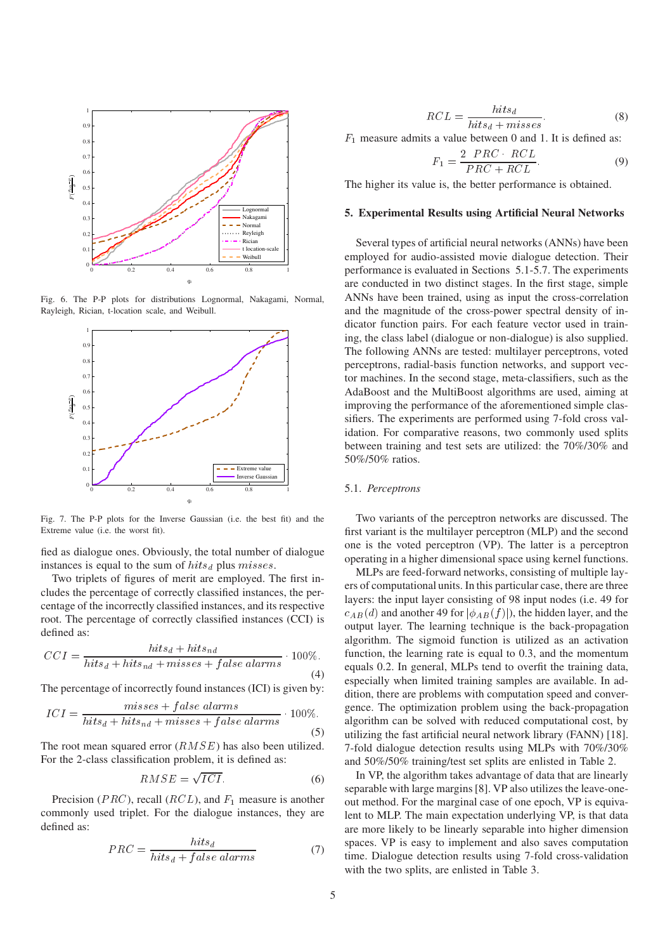

Fig. 6. The P-P plots for distributions Lognormal, Nakagami, Normal, Rayleigh, Rician, t-location scale, and Weibull.



Fig. 7. The P-P plots for the Inverse Gaussian (i.e. the best fit) and the Extreme value (i.e. the worst fit).

fied as dialogue ones. Obviously, the total number of dialogue instances is equal to the sum of  $hits_d$  plus  $misses$ .

Two triplets of figures of merit are employed. The first includes the percentage of correctly classified instances, the percentage of the incorrectly classified instances, and its respective root. The percentage of correctly classified instances (CCI) is defined as:

$$
CCI = \frac{hits_d + hits_{nd}}{hits_d + hits_{nd} + misses + false \; alarms} \cdot 100\%.
$$
\n(4)

The percentage of incorrectly found instances (ICI) is given by:

$$
ICI = \frac{misses + false \; alarms}{hits_d + hits_{nd} + misses + false \; alarms} \cdot 100\%.
$$
\n(5)

The root mean squared error  $(RMSE)$  has also been utilized. For the 2-class classification problem, it is defined as:

$$
RMSE = \sqrt{ICI}.
$$
 (6)

Precision ( $PRC$ ), recall ( $RCL$ ), and  $F_1$  measure is another commonly used triplet. For the dialogue instances, they are defined as:

$$
PRC = \frac{hits_d}{hits_d + false\; alarms} \tag{7}
$$

$$
RCL = \frac{hits_d}{hits_d + misses}.
$$
 (8)

 $F_1$  measure admits a value between 0 and 1. It is defined as:

$$
F_1 = \frac{2 \, PRC \, RCL}{PRC + RCL}.\tag{9}
$$

The higher its value is, the better performance is obtained.

## **5. Experimental Results using Artificial Neural Networks**

Several types of artificial neural networks (ANNs) have been employed for audio-assisted movie dialogue detection. Their performance is evaluated in Sections 5.1-5.7. The experiments are conducted in two distinct stages. In the first stage, simple ANNs have been trained, using as input the cross-correlation and the magnitude of the cross-power spectral density of indicator function pairs. For each feature vector used in training, the class label (dialogue or non-dialogue) is also supplied. The following ANNs are tested: multilayer perceptrons, voted perceptrons, radial-basis function networks, and support vector machines. In the second stage, meta-classifiers, such as the AdaBoost and the MultiBoost algorithms are used, aiming at improving the performance of the aforementioned simple classifiers. The experiments are performed using 7-fold cross validation. For comparative reasons, two commonly used splits between training and test sets are utilized: the 70%/30% and 50%/50% ratios.

## 5.1. *Perceptrons*

Two variants of the perceptron networks are discussed. The first variant is the multilayer perceptron (MLP) and the second one is the voted perceptron (VP). The latter is a perceptron operating in a higher dimensional space using kernel functions.

MLPs are feed-forward networks, consisting of multiple layers of computational units. In this particular case, there are three layers: the input layer consisting of 98 input nodes (i.e. 49 for  $c_{AB}(d)$  and another 49 for  $|\phi_{AB}(f)|$ ), the hidden layer, and the output layer. The learning technique is the back-propagation algorithm. The sigmoid function is utilized as an activation function, the learning rate is equal to 0.3, and the momentum equals 0.2. In general, MLPs tend to overfit the training data, especially when limited training samples are available. In addition, there are problems with computation speed and convergence. The optimization problem using the back-propagation algorithm can be solved with reduced computational cost, by utilizing the fast artificial neural network library (FANN) [18]. 7-fold dialogue detection results using MLPs with 70%/30% and 50%/50% training/test set splits are enlisted in Table 2.

In VP, the algorithm takes advantage of data that are linearly separable with large margins [8]. VP also utilizes the leave-oneout method. For the marginal case of one epoch, VP is equivalent to MLP. The main expectation underlying VP, is that data are more likely to be linearly separable into higher dimension spaces. VP is easy to implement and also saves computation time. Dialogue detection results using 7-fold cross-validation with the two splits, are enlisted in Table 3.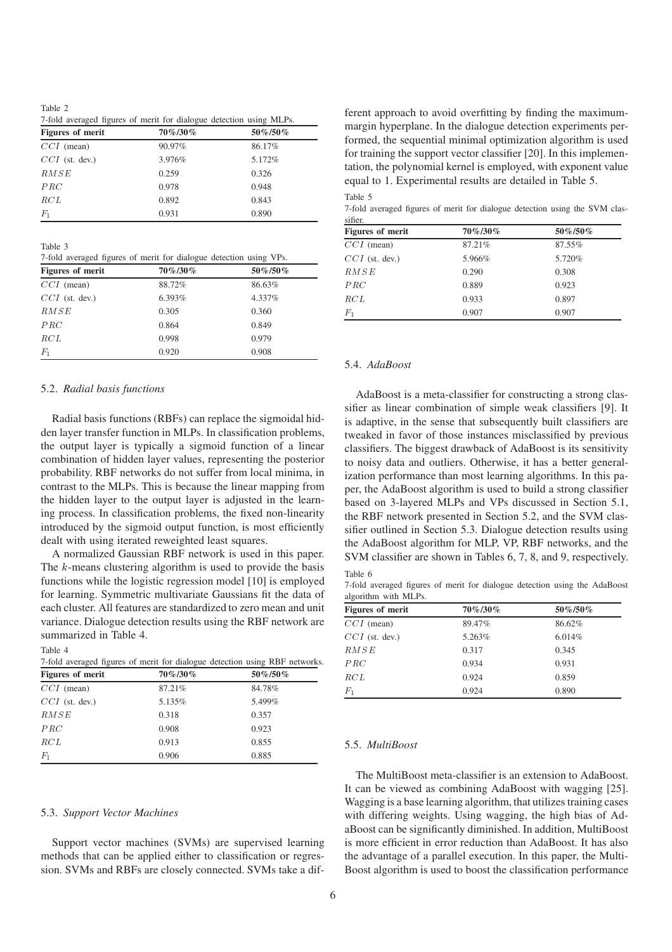Table 2 7-fold averaged figures of merit for dialogue detection using MLPs.

| <i>f</i> fold averaged figures of fileric for dialogue detection using trief s. |         |           |  |  |
|---------------------------------------------------------------------------------|---------|-----------|--|--|
| <b>Figures of merit</b>                                                         | 70%/30% | 50\%/50\% |  |  |
| $CCI$ (mean)                                                                    | 90.97%  | 86.17%    |  |  |
| $CCI$ (st. dev.)                                                                | 3.976%  | 5.172%    |  |  |
| RMSE                                                                            | 0.259   | 0.326     |  |  |
| PRC                                                                             | 0.978   | 0.948     |  |  |
| RCL                                                                             | 0.892   | 0.843     |  |  |
| $F_1$                                                                           | 0.931   | 0.890     |  |  |

Table 3

7-fold averaged figures of merit for dialogue detection using VPs.

| <b>Figures of merit</b> | 70%/30% | 50\%/50\% |
|-------------------------|---------|-----------|
| $CCI$ (mean)            | 88.72%  | 86.63%    |
| $CCI$ (st. dev.)        | 6.393%  | 4.337%    |
| RMSE                    | 0.305   | 0.360     |
| PRC                     | 0.864   | 0.849     |
| RCL                     | 0.998   | 0.979     |
| $_{F_1}$                | 0.920   | 0.908     |

# 5.2. *Radial basis functions*

Radial basis functions (RBFs) can replace the sigmoidal hidden layer transfer function in MLPs. In classification problems, the output layer is typically a sigmoid function of a linear combination of hidden layer values, representing the posterior probability. RBF networks do not suffer from local minima, in contrast to the MLPs. This is because the linear mapping from the hidden layer to the output layer is adjusted in the learning process. In classification problems, the fixed non-linearity introduced by the sigmoid output function, is most efficiently dealt with using iterated reweighted least squares.

A normalized Gaussian RBF network is used in this paper. The  $k$ -means clustering algorithm is used to provide the basis functions while the logistic regression model [10] is employed for learning. Symmetric multivariate Gaussians fit the data of each cluster. All features are standardized to zero mean and unit variance. Dialogue detection results using the RBF network are summarized in Table 4.

Table 4

|                         | 7-fold averaged figures of merit for dialogue detection using RBF networks. |         |  |
|-------------------------|-----------------------------------------------------------------------------|---------|--|
| <b>Figures of merit</b> | 70%/30%                                                                     | 50%/50% |  |
| $CCI$ (mean)            | 87.21%                                                                      | 84.78%  |  |
| $CCI$ (st. dev.)        | 5.135%                                                                      | 5.499%  |  |
| RMSE                    | 0.318                                                                       | 0.357   |  |
| PRC                     | 0.908                                                                       | 0.923   |  |
| RCL                     | 0.913                                                                       | 0.855   |  |
| $F_1$                   | 0.906                                                                       | 0.885   |  |

# 5.3. *Support Vector Machines*

Support vector machines (SVMs) are supervised learning methods that can be applied either to classification or regression. SVMs and RBFs are closely connected. SVMs take a different approach to avoid overfitting by finding the maximummargin hyperplane. In the dialogue detection experiments performed, the sequential minimal optimization algorithm is used for training the support vector classifier [20]. In this implementation, the polynomial kernel is employed, with exponent value equal to 1. Experimental results are detailed in Table 5. Table 5

7-fold averaged figures of merit for dialogue detection using the SVM classifier.

| <b>Figures of merit</b> | $70\% / 30\%$ | $50\%$ /50% |
|-------------------------|---------------|-------------|
| $CCI$ (mean)            | 87.21%        | 87.55%      |
| $CCI$ (st. dev.)        | 5.966%        | 5.720%      |
| RMSE                    | 0.290         | 0.308       |
| PRC                     | 0.889         | 0.923       |
| RCL                     | 0.933         | 0.897       |
| $F_1$                   | 0.907         | 0.907       |

# 5.4. *AdaBoost*

AdaBoost is a meta-classifier for constructing a strong classifier as linear combination of simple weak classifiers [9]. It is adaptive, in the sense that subsequently built classifiers are tweaked in favor of those instances misclassified by previous classifiers. The biggest drawback of AdaBoost is its sensitivity to noisy data and outliers. Otherwise, it has a better generalization performance than most learning algorithms. In this paper, the AdaBoost algorithm is used to build a strong classifier based on 3-layered MLPs and VPs discussed in Section 5.1, the RBF network presented in Section 5.2, and the SVM classifier outlined in Section 5.3. Dialogue detection results using the AdaBoost algorithm for MLP, VP, RBF networks, and the SVM classifier are shown in Tables 6, 7, 8, and 9, respectively. Table 6

7-fold averaged figures of merit for dialogue detection using the AdaBoost algorithm with MLPs.

| Figures of merit | $70\% / 30\%$ | 50%/50% |  |
|------------------|---------------|---------|--|
| $CCI$ (mean)     | 89.47%        | 86.62%  |  |
| $CCI$ (st. dev.) | 5.263%        | 6.014%  |  |
| RMSE             | 0.317         | 0.345   |  |
| PRC              | 0.934         | 0.931   |  |
| RCL              | 0.924         | 0.859   |  |
| $F_1$            | 0.924         | 0.890   |  |

#### 5.5. *MultiBoost*

The MultiBoost meta-classifier is an extension to AdaBoost. It can be viewed as combining AdaBoost with wagging [25]. Wagging is a base learning algorithm, that utilizes training cases with differing weights. Using wagging, the high bias of AdaBoost can be significantly diminished. In addition, MultiBoost is more efficient in error reduction than AdaBoost. It has also the advantage of a parallel execution. In this paper, the Multi-Boost algorithm is used to boost the classification performance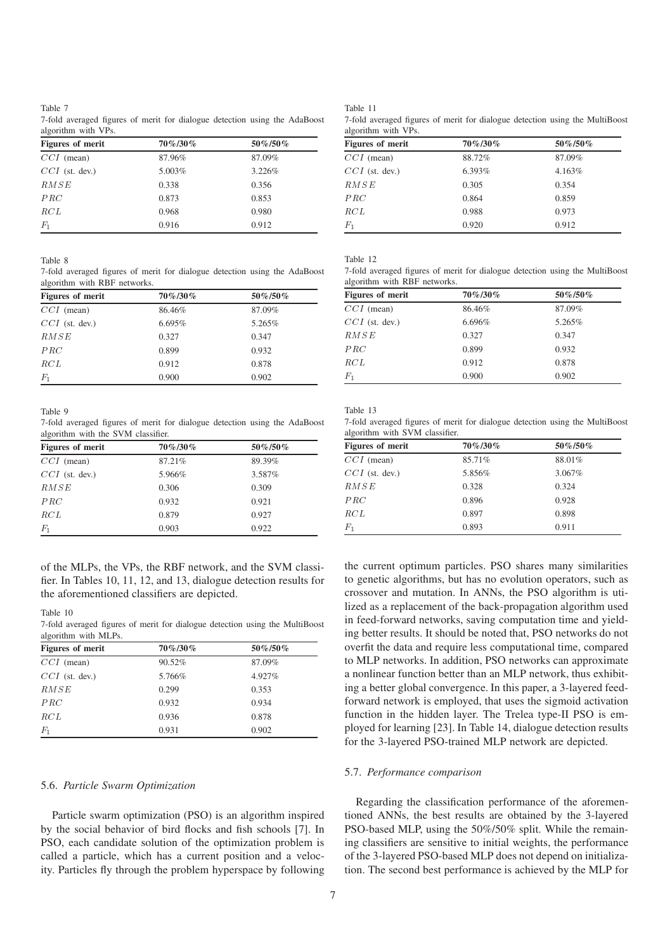## Table 7

|                     |  |  |  |  | 7-fold averaged figures of merit for dialogue detection using the AdaBoost |
|---------------------|--|--|--|--|----------------------------------------------------------------------------|
| algorithm with VPs. |  |  |  |  |                                                                            |

| Figures of merit | 70%/30% | 50%/50% |
|------------------|---------|---------|
| $CCI$ (mean)     | 87.96%  | 87.09%  |
| $CCI$ (st. dev.) | 5.003%  | 3.226%  |
| RMSE             | 0.338   | 0.356   |
| PRC              | 0.873   | 0.853   |
| RCL              | 0.968   | 0.980   |
| $F_1$            | 0.916   | 0.912   |

Table 8

7-fold averaged figures of merit for dialogue detection using the AdaBoost algorithm with RBF networks.

| <b>Figures of merit</b> | 70%/30% | $50\% / 50\%$ |
|-------------------------|---------|---------------|
| $CCI$ (mean)            | 86.46%  | 87.09%        |
| $CCI$ (st. dev.)        | 6.695%  | 5.265%        |
| RMSE                    | 0.327   | 0.347         |
| PRC                     | 0.899   | 0.932         |
| RCL                     | 0.912   | 0.878         |
|                         | 0.900   | 0.902         |

Table 9

7-fold averaged figures of merit for dialogue detection using the AdaBoost algorithm with the SVM classifier.

| <b>Figures of merit</b> | 70%/30% | 50%/50% |
|-------------------------|---------|---------|
| $CCI$ (mean)            | 87.21%  | 89.39%  |
| $CCI$ (st. dev.)        | 5.966%  | 3.587%  |
| RMSE                    | 0.306   | 0.309   |
| PRC                     | 0.932   | 0.921   |
| RCL                     | 0.879   | 0.927   |
| $_{F_{\rm 1}}$          | 0.903   | 0.922   |

of the MLPs, the VPs, the RBF network, and the SVM classifier. In Tables 10, 11, 12, and 13, dialogue detection results for the aforementioned classifiers are depicted.

Table 10

<sup>7-</sup>fold averaged figures of merit for dialogue detection using the MultiBoost algorithm with MLPs.

| <b>Figures of merit</b> | 70%/30% | 50%/50% |
|-------------------------|---------|---------|
| $CCI$ (mean)            | 90.52%  | 87.09%  |
| $CCI$ (st. dev.)        | 5.766%  | 4.927%  |
| RMSE                    | 0.299   | 0.353   |
| PRC                     | 0.932   | 0.934   |
| RCL                     | 0.936   | 0.878   |
| $F_1$                   | 0.931   | 0.902   |

# 5.6. *Particle Swarm Optimization*

Particle swarm optimization (PSO) is an algorithm inspired by the social behavior of bird flocks and fish schools [7]. In PSO, each candidate solution of the optimization problem is called a particle, which has a current position and a velocity. Particles fly through the problem hyperspace by following

| <b>Figures of merit</b> | $70\% / 30\%$ | $50\% / 50\%$ |
|-------------------------|---------------|---------------|
| $CCI$ (mean)            | 88.72%        | 87.09%        |
| $CCI$ (st. dev.)        | 6.393%        | 4.163%        |
| RMSE                    | 0.305         | 0.354         |
| PRC                     | 0.864         | 0.859         |
| RCL                     | 0.988         | 0.973         |
| $F_1$                   | 0.920         | 0.912         |

Table 12

7-fold averaged figures of merit for dialogue detection using the MultiBoost algorithm with RBF networks.

| <b>Figures of merit</b> | $70\% / 30\%$ | 50%/50% |
|-------------------------|---------------|---------|
| $CCI$ (mean)            | 86.46%        | 87.09%  |
| $CCI$ (st. dev.)        | 6.696%        | 5.265%  |
| RMSE                    | 0.327         | 0.347   |
| PRC                     | 0.899         | 0.932   |
| RCL                     | 0.912         | 0.878   |
| $F_1$                   | 0.900         | 0.902   |

Table 13

7-fold averaged figures of merit for dialogue detection using the MultiBoost algorithm with SVM classifier.

| <b>Figures of merit</b> | $70\% / 30\%$ | 50%/50% |
|-------------------------|---------------|---------|
| $CCI$ (mean)            | 85.71%        | 88.01%  |
| $CCI$ (st. dev.)        | 5.856%        | 3.067%  |
| RMSE                    | 0.328         | 0.324   |
| PRC                     | 0.896         | 0.928   |
| RCL                     | 0.897         | 0.898   |
| $F_1$                   | 0.893         | 0.911   |

the current optimum particles. PSO shares many similarities to genetic algorithms, but has no evolution operators, such as crossover and mutation. In ANNs, the PSO algorithm is utilized as a replacement of the back-propagation algorithm used in feed-forward networks, saving computation time and yielding better results. It should be noted that, PSO networks do not overfit the data and require less computational time, compared to MLP networks. In addition, PSO networks can approximate a nonlinear function better than an MLP network, thus exhibiting a better global convergence. In this paper, a 3-layered feedforward network is employed, that uses the sigmoid activation function in the hidden layer. The Trelea type-II PSO is employed for learning [23]. In Table 14, dialogue detection results for the 3-layered PSO-trained MLP network are depicted.

## 5.7. *Performance comparison*

Regarding the classification performance of the aforementioned ANNs, the best results are obtained by the 3-layered PSO-based MLP, using the 50%/50% split. While the remaining classifiers are sensitive to initial weights, the performance of the 3-layered PSO-based MLP does not depend on initialization. The second best performance is achieved by the MLP for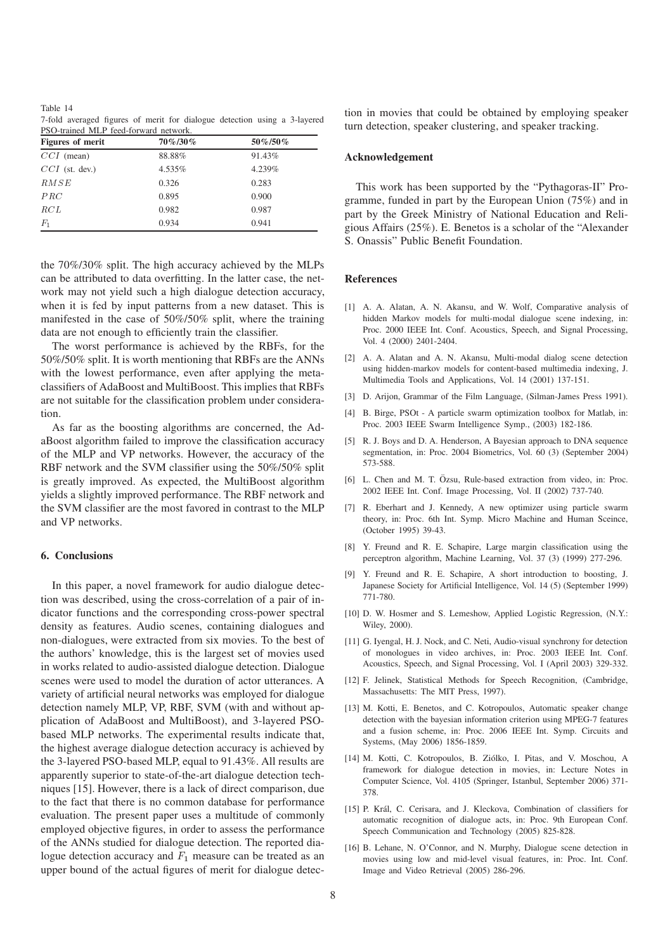Table 14 7-fold averaged figures of merit for dialogue detection using a 3-layered PSO-trained MLP feed-forward network.

| <b>Figures of merit</b> | 70%/30% | 50%/50% |
|-------------------------|---------|---------|
| $CCI$ (mean)            | 88.88%  | 91.43%  |
| $CCI$ (st. dev.)        | 4.535%  | 4.239%  |
| RMSE                    | 0.326   | 0.283   |
| PRC                     | 0.895   | 0.900   |
| RCL                     | 0.982   | 0.987   |
| $F_1$                   | 0.934   | 0.941   |

the 70%/30% split. The high accuracy achieved by the MLPs can be attributed to data overfitting. In the latter case, the network may not yield such a high dialogue detection accuracy, when it is fed by input patterns from a new dataset. This is manifested in the case of 50%/50% split, where the training data are not enough to efficiently train the classifier.

The worst performance is achieved by the RBFs, for the 50%/50% split. It is worth mentioning that RBFs are the ANNs with the lowest performance, even after applying the metaclassifiers of AdaBoost and MultiBoost. This implies that RBFs are not suitable for the classification problem under consideration.

As far as the boosting algorithms are concerned, the AdaBoost algorithm failed to improve the classification accuracy of the MLP and VP networks. However, the accuracy of the RBF network and the SVM classifier using the 50%/50% split is greatly improved. As expected, the MultiBoost algorithm yields a slightly improved performance. The RBF network and the SVM classifier are the most favored in contrast to the MLP and VP networks.

# **6. Conclusions**

In this paper, a novel framework for audio dialogue detection was described, using the cross-correlation of a pair of indicator functions and the corresponding cross-power spectral density as features. Audio scenes, containing dialogues and non-dialogues, were extracted from six movies. To the best of the authors' knowledge, this is the largest set of movies used in works related to audio-assisted dialogue detection. Dialogue scenes were used to model the duration of actor utterances. A variety of artificial neural networks was employed for dialogue detection namely MLP, VP, RBF, SVM (with and without application of AdaBoost and MultiBoost), and 3-layered PSObased MLP networks. The experimental results indicate that, the highest average dialogue detection accuracy is achieved by the 3-layered PSO-based MLP, equal to 91.43%. All results are apparently superior to state-of-the-art dialogue detection techniques [15]. However, there is a lack of direct comparison, due to the fact that there is no common database for performance evaluation. The present paper uses a multitude of commonly employed objective figures, in order to assess the performance of the ANNs studied for dialogue detection. The reported dialogue detection accuracy and  $F_1$  measure can be treated as an upper bound of the actual figures of merit for dialogue detection in movies that could be obtained by employing speaker turn detection, speaker clustering, and speaker tracking.

## **Acknowledgement**

This work has been supported by the "Pythagoras-II" Programme, funded in part by the European Union (75%) and in part by the Greek Ministry of National Education and Religious Affairs (25%). E. Benetos is a scholar of the "Alexander S. Onassis" Public Benefit Foundation.

# **References**

- [1] A. A. Alatan, A. N. Akansu, and W. Wolf, Comparative analysis of hidden Markov models for multi-modal dialogue scene indexing, in: Proc. 2000 IEEE Int. Conf. Acoustics, Speech, and Signal Processing, Vol. 4 (2000) 2401-2404.
- [2] A. A. Alatan and A. N. Akansu, Multi-modal dialog scene detection using hidden-markov models for content-based multimedia indexing, J. Multimedia Tools and Applications, Vol. 14 (2001) 137-151.
- [3] D. Arijon, Grammar of the Film Language, (Silman-James Press 1991).
- [4] B. Birge, PSOt A particle swarm optimization toolbox for Matlab, in: Proc. 2003 IEEE Swarm Intelligence Symp., (2003) 182-186.
- [5] R. J. Boys and D. A. Henderson, A Bayesian approach to DNA sequence segmentation, in: Proc. 2004 Biometrics, Vol. 60 (3) (September 2004) 573-588.
- [6] L. Chen and M. T. Özsu, Rule-based extraction from video, in: Proc. 2002 IEEE Int. Conf. Image Processing, Vol. II (2002) 737-740.
- [7] R. Eberhart and J. Kennedy, A new optimizer using particle swarm theory, in: Proc. 6th Int. Symp. Micro Machine and Human Sceince, (October 1995) 39-43.
- [8] Y. Freund and R. E. Schapire, Large margin classification using the perceptron algorithm, Machine Learning, Vol. 37 (3) (1999) 277-296.
- [9] Y. Freund and R. E. Schapire, A short introduction to boosting, J. Japanese Society for Artificial Intelligence, Vol. 14 (5) (September 1999) 771-780.
- [10] D. W. Hosmer and S. Lemeshow, Applied Logistic Regression, (N.Y.: Wiley, 2000).
- [11] G. Iyengal, H. J. Nock, and C. Neti, Audio-visual synchrony for detection of monologues in video archives, in: Proc. 2003 IEEE Int. Conf. Acoustics, Speech, and Signal Processing, Vol. I (April 2003) 329-332.
- [12] F. Jelinek, Statistical Methods for Speech Recognition, (Cambridge, Massachusetts: The MIT Press, 1997).
- [13] M. Kotti, E. Benetos, and C. Kotropoulos, Automatic speaker change detection with the bayesian information criterion using MPEG-7 features and a fusion scheme, in: Proc. 2006 IEEE Int. Symp. Circuits and Systems, (May 2006) 1856-1859.
- [14] M. Kotti, C. Kotropoulos, B. Ziólko, I. Pitas, and V. Moschou, A. framework for dialogue detection in movies, in: Lecture Notes in Computer Science, Vol. 4105 (Springer, Istanbul, September 2006) 371- 378.
- [15] P. Král, C. Cerisara, and J. Kleckova, Combination of classifiers for automatic recognition of dialogue acts, in: Proc. 9th European Conf. Speech Communication and Technology (2005) 825-828.
- [16] B. Lehane, N. O'Connor, and N. Murphy, Dialogue scene detection in movies using low and mid-level visual features, in: Proc. Int. Conf. Image and Video Retrieval (2005) 286-296.